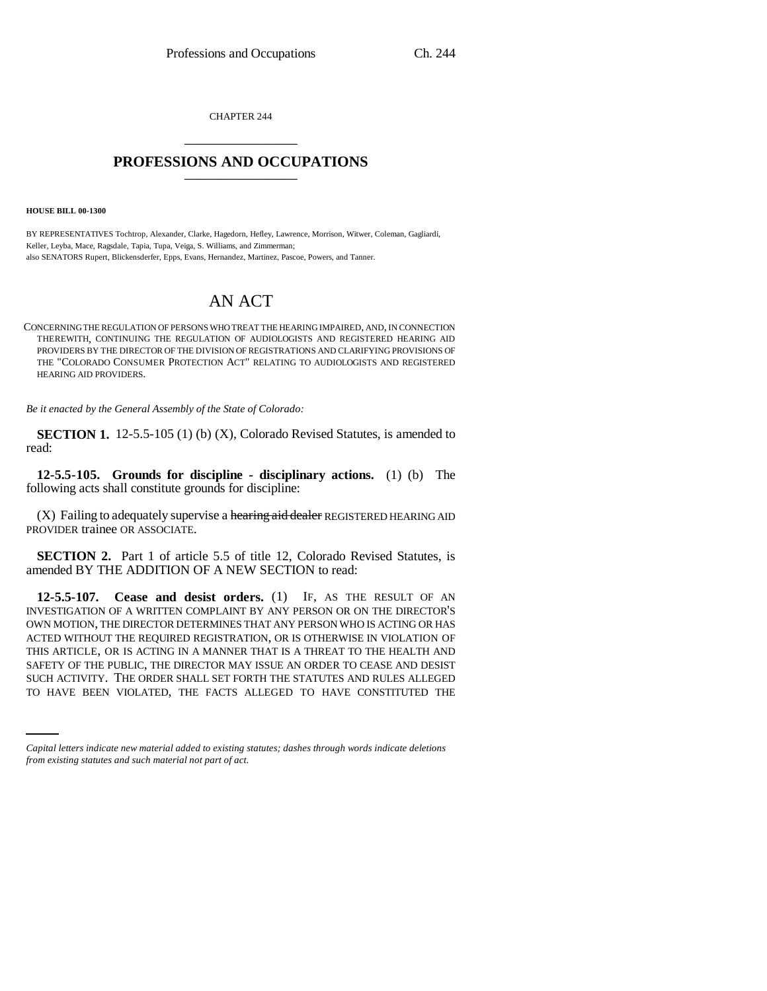CHAPTER 244 \_\_\_\_\_\_\_\_\_\_\_\_\_\_\_

# PROFESSIONS AND OCCUPATIONS

**HOUSE BILL 00-1300** 

BY REPRESENTATIVES Tochtrop, Alexander, Clarke, Hagedorn, Hefley, Lawrence, Morrison, Witwer, Coleman, Gagliardi, Keller, Leyba, Mace, Ragsdale, Tapia, Tupa, Veiga, S. Williams, and Zimmerman; also SENATORS Rupert, Blickensderfer, Epps, Evans, Hernandez, Martinez, Pascoe, Powers, and Tanner.

# AN ACT

CONCERNING THE REGULATION OF PERSONS WHO TREAT THE HEARING IMPAIRED, AND, IN CONNECTION THEREWITH, CONTINUING THE REGULATION OF AUDIOLOGISTS AND REGISTERED HEARING AID PROVIDERS BY THE DIRECTOR OF THE DIVISION OF REGISTRATIONS AND CLARIFYING PROVISIONS OF THE "COLORADO CONSUMER PROTECTION ACT" RELATING TO AUDIOLOGISTS AND REGISTERED HEARING AID PROVIDERS.

*Be it enacted by the General Assembly of the State of Colorado:*

**SECTION 1.** 12-5.5-105 (1) (b) (X), Colorado Revised Statutes, is amended to read:

**12-5.5-105. Grounds for discipline - disciplinary actions.** (1) (b) The following acts shall constitute grounds for discipline:

(X) Failing to adequately supervise a hearing aid dealer REGISTERED HEARING AID PROVIDER trainee OR ASSOCIATE.

**SECTION 2.** Part 1 of article 5.5 of title 12, Colorado Revised Statutes, is amended BY THE ADDITION OF A NEW SECTION to read:

SAFETY OF THE PUBLIC, THE DIRECTOR MAY ISSUE AN ORDER TO CEASE AND DESIST **12-5.5-107. Cease and desist orders.** (1) IF, AS THE RESULT OF AN INVESTIGATION OF A WRITTEN COMPLAINT BY ANY PERSON OR ON THE DIRECTOR'S OWN MOTION, THE DIRECTOR DETERMINES THAT ANY PERSON WHO IS ACTING OR HAS ACTED WITHOUT THE REQUIRED REGISTRATION, OR IS OTHERWISE IN VIOLATION OF THIS ARTICLE, OR IS ACTING IN A MANNER THAT IS A THREAT TO THE HEALTH AND SUCH ACTIVITY. THE ORDER SHALL SET FORTH THE STATUTES AND RULES ALLEGED TO HAVE BEEN VIOLATED, THE FACTS ALLEGED TO HAVE CONSTITUTED THE

*Capital letters indicate new material added to existing statutes; dashes through words indicate deletions from existing statutes and such material not part of act.*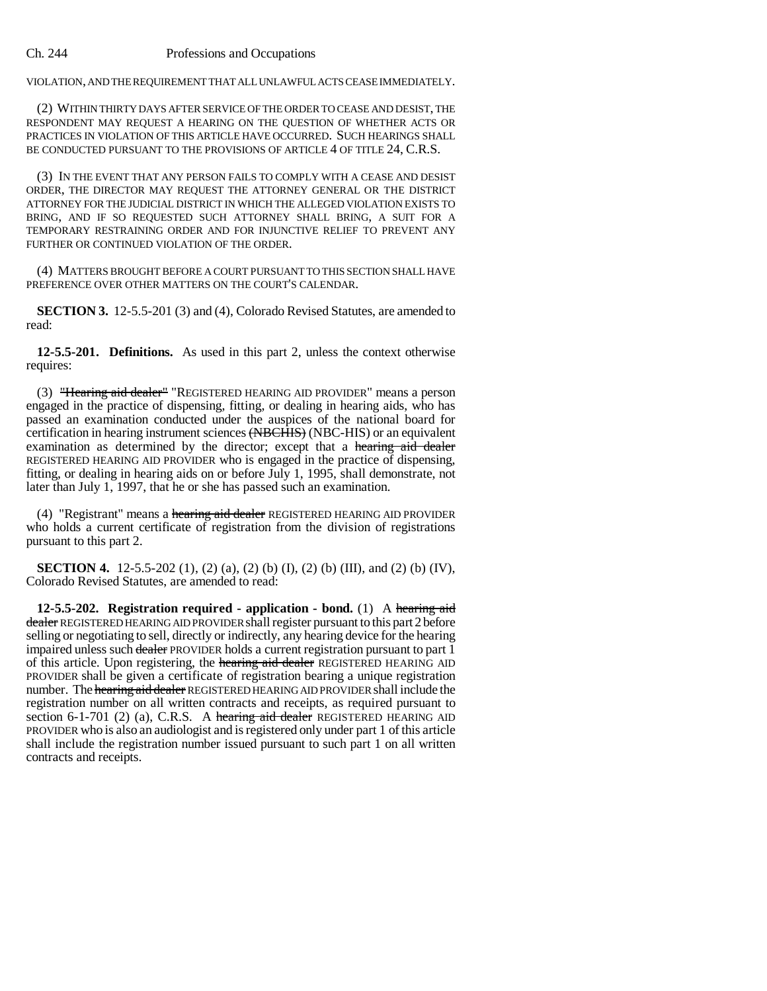#### Ch. 244 Professions and Occupations

VIOLATION, AND THE REQUIREMENT THAT ALL UNLAWFUL ACTS CEASE IMMEDIATELY.

(2) WITHIN THIRTY DAYS AFTER SERVICE OF THE ORDER TO CEASE AND DESIST, THE RESPONDENT MAY REQUEST A HEARING ON THE QUESTION OF WHETHER ACTS OR PRACTICES IN VIOLATION OF THIS ARTICLE HAVE OCCURRED. SUCH HEARINGS SHALL BE CONDUCTED PURSUANT TO THE PROVISIONS OF ARTICLE 4 OF TITLE 24, C.R.S.

(3) IN THE EVENT THAT ANY PERSON FAILS TO COMPLY WITH A CEASE AND DESIST ORDER, THE DIRECTOR MAY REQUEST THE ATTORNEY GENERAL OR THE DISTRICT ATTORNEY FOR THE JUDICIAL DISTRICT IN WHICH THE ALLEGED VIOLATION EXISTS TO BRING, AND IF SO REQUESTED SUCH ATTORNEY SHALL BRING, A SUIT FOR A TEMPORARY RESTRAINING ORDER AND FOR INJUNCTIVE RELIEF TO PREVENT ANY FURTHER OR CONTINUED VIOLATION OF THE ORDER.

(4) MATTERS BROUGHT BEFORE A COURT PURSUANT TO THIS SECTION SHALL HAVE PREFERENCE OVER OTHER MATTERS ON THE COURT'S CALENDAR.

**SECTION 3.** 12-5.5-201 (3) and (4), Colorado Revised Statutes, are amended to read:

**12-5.5-201. Definitions.** As used in this part 2, unless the context otherwise requires:

(3) "Hearing aid dealer" "REGISTERED HEARING AID PROVIDER" means a person engaged in the practice of dispensing, fitting, or dealing in hearing aids, who has passed an examination conducted under the auspices of the national board for certification in hearing instrument sciences (NBCHIS) (NBC-HIS) or an equivalent examination as determined by the director; except that a hearing aid dealer REGISTERED HEARING AID PROVIDER who is engaged in the practice of dispensing, fitting, or dealing in hearing aids on or before July 1, 1995, shall demonstrate, not later than July 1, 1997, that he or she has passed such an examination.

(4) "Registrant" means a hearing aid dealer REGISTERED HEARING AID PROVIDER who holds a current certificate of registration from the division of registrations pursuant to this part 2.

**SECTION 4.** 12-5.5-202 (1), (2) (a), (2) (b) (I), (2) (b) (III), and (2) (b) (IV), Colorado Revised Statutes, are amended to read:

**12-5.5-202. Registration required - application - bond.** (1) A hearing aid dealer REGISTERED HEARING AID PROVIDER shall register pursuant to this part 2 before selling or negotiating to sell, directly or indirectly, any hearing device for the hearing impaired unless such dealer PROVIDER holds a current registration pursuant to part 1 of this article. Upon registering, the hearing aid dealer REGISTERED HEARING AID PROVIDER shall be given a certificate of registration bearing a unique registration number. The hearing aid dealer REGISTERED HEARING AID PROVIDER shall include the registration number on all written contracts and receipts, as required pursuant to section 6-1-701 (2) (a), C.R.S. A hearing aid dealer REGISTERED HEARING AID PROVIDER who is also an audiologist and is registered only under part 1 of this article shall include the registration number issued pursuant to such part 1 on all written contracts and receipts.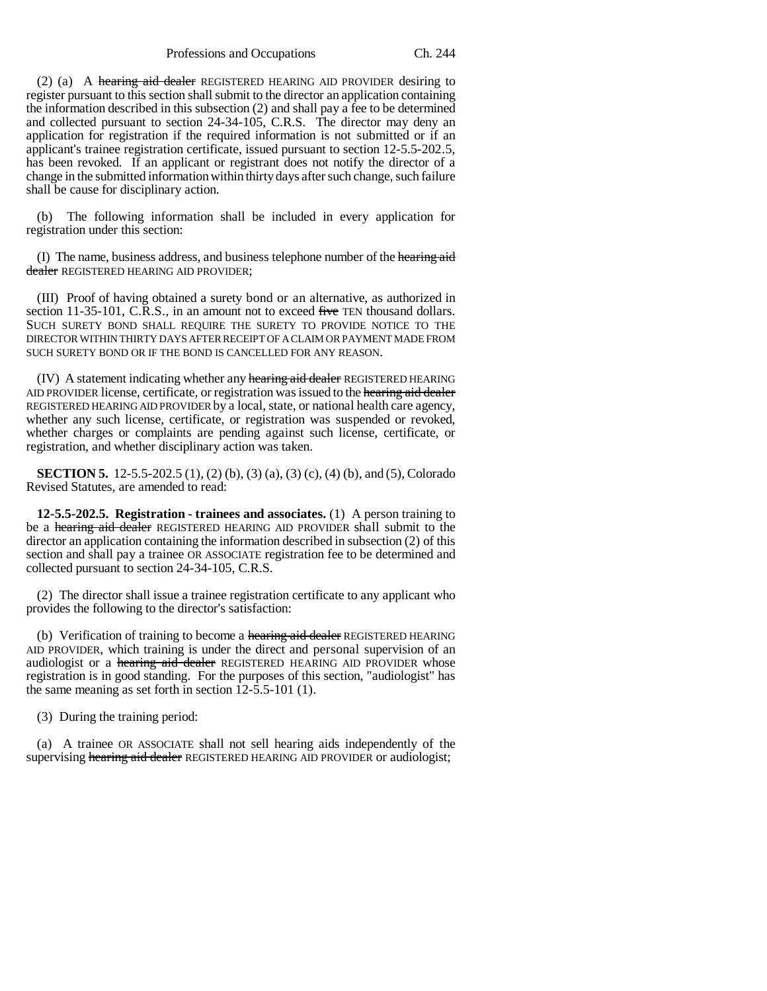Professions and Occupations Ch. 244

(2) (a) A hearing aid dealer REGISTERED HEARING AID PROVIDER desiring to register pursuant to this section shall submit to the director an application containing the information described in this subsection (2) and shall pay a fee to be determined and collected pursuant to section 24-34-105, C.R.S. The director may deny an application for registration if the required information is not submitted or if an applicant's trainee registration certificate, issued pursuant to section 12-5.5-202.5, has been revoked. If an applicant or registrant does not notify the director of a change in the submitted information within thirty days after such change, such failure shall be cause for disciplinary action.

(b) The following information shall be included in every application for registration under this section:

(I) The name, business address, and business telephone number of the hearing aid dealer REGISTERED HEARING AID PROVIDER;

(III) Proof of having obtained a surety bond or an alternative, as authorized in section 11-35-101, C.R.S., in an amount not to exceed five TEN thousand dollars. SUCH SURETY BOND SHALL REQUIRE THE SURETY TO PROVIDE NOTICE TO THE DIRECTOR WITHIN THIRTY DAYS AFTER RECEIPT OF A CLAIM OR PAYMENT MADE FROM SUCH SURETY BOND OR IF THE BOND IS CANCELLED FOR ANY REASON.

(IV) A statement indicating whether any hearing aid dealer REGISTERED HEARING AID PROVIDER license, certificate, or registration was issued to the hearing aid dealer REGISTERED HEARING AID PROVIDER by a local, state, or national health care agency, whether any such license, certificate, or registration was suspended or revoked, whether charges or complaints are pending against such license, certificate, or registration, and whether disciplinary action was taken.

**SECTION 5.** 12-5.5-202.5 (1), (2) (b), (3) (a), (3) (c), (4) (b), and (5), Colorado Revised Statutes, are amended to read:

**12-5.5-202.5. Registration - trainees and associates.** (1) A person training to be a hearing aid dealer REGISTERED HEARING AID PROVIDER shall submit to the director an application containing the information described in subsection (2) of this section and shall pay a trainee OR ASSOCIATE registration fee to be determined and collected pursuant to section 24-34-105, C.R.S.

(2) The director shall issue a trainee registration certificate to any applicant who provides the following to the director's satisfaction:

(b) Verification of training to become a hearing aid dealer REGISTERED HEARING AID PROVIDER, which training is under the direct and personal supervision of an audiologist or a hearing aid dealer REGISTERED HEARING AID PROVIDER whose registration is in good standing. For the purposes of this section, "audiologist" has the same meaning as set forth in section 12-5.5-101 (1).

(3) During the training period:

(a) A trainee OR ASSOCIATE shall not sell hearing aids independently of the supervising hearing aid dealer REGISTERED HEARING AID PROVIDER or audiologist;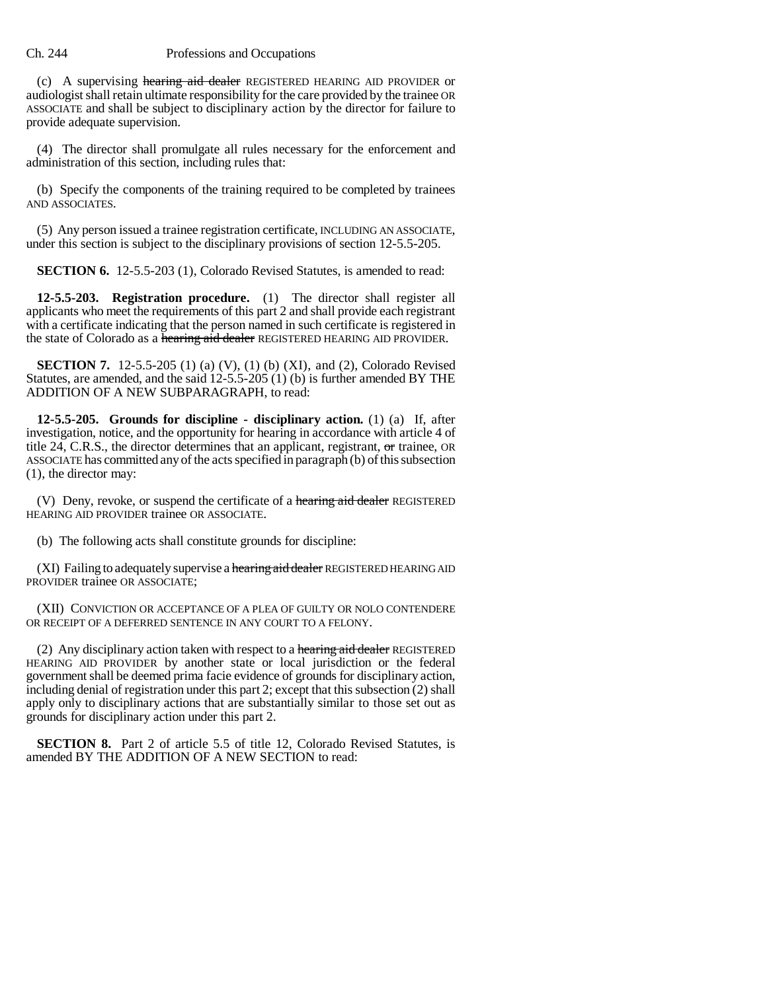#### Ch. 244 Professions and Occupations

(c) A supervising hearing aid dealer REGISTERED HEARING AID PROVIDER or audiologist shall retain ultimate responsibility for the care provided by the trainee OR ASSOCIATE and shall be subject to disciplinary action by the director for failure to provide adequate supervision.

(4) The director shall promulgate all rules necessary for the enforcement and administration of this section, including rules that:

(b) Specify the components of the training required to be completed by trainees AND ASSOCIATES.

(5) Any person issued a trainee registration certificate, INCLUDING AN ASSOCIATE, under this section is subject to the disciplinary provisions of section 12-5.5-205.

**SECTION 6.** 12-5.5-203 (1), Colorado Revised Statutes, is amended to read:

**12-5.5-203. Registration procedure.** (1) The director shall register all applicants who meet the requirements of this part 2 and shall provide each registrant with a certificate indicating that the person named in such certificate is registered in the state of Colorado as a hearing aid dealer REGISTERED HEARING AID PROVIDER.

**SECTION 7.** 12-5.5-205 (1) (a) (V), (1) (b) (XI), and (2), Colorado Revised Statutes, are amended, and the said 12-5.5-205 (1) (b) is further amended BY THE ADDITION OF A NEW SUBPARAGRAPH, to read:

**12-5.5-205. Grounds for discipline - disciplinary action.** (1) (a) If, after investigation, notice, and the opportunity for hearing in accordance with article 4 of title 24, C.R.S., the director determines that an applicant, registrant, or trainee, OR ASSOCIATE has committed any of the acts specified in paragraph (b) of this subsection (1), the director may:

(V) Deny, revoke, or suspend the certificate of a hearing aid dealer REGISTERED HEARING AID PROVIDER trainee OR ASSOCIATE.

(b) The following acts shall constitute grounds for discipline:

(XI) Failing to adequately supervise a hearing aid dealer REGISTERED HEARING AID PROVIDER trainee OR ASSOCIATE;

(XII) CONVICTION OR ACCEPTANCE OF A PLEA OF GUILTY OR NOLO CONTENDERE OR RECEIPT OF A DEFERRED SENTENCE IN ANY COURT TO A FELONY.

(2) Any disciplinary action taken with respect to a hearing aid dealer REGISTERED HEARING AID PROVIDER by another state or local jurisdiction or the federal government shall be deemed prima facie evidence of grounds for disciplinary action, including denial of registration under this part 2; except that this subsection (2) shall apply only to disciplinary actions that are substantially similar to those set out as grounds for disciplinary action under this part 2.

**SECTION 8.** Part 2 of article 5.5 of title 12, Colorado Revised Statutes, is amended BY THE ADDITION OF A NEW SECTION to read: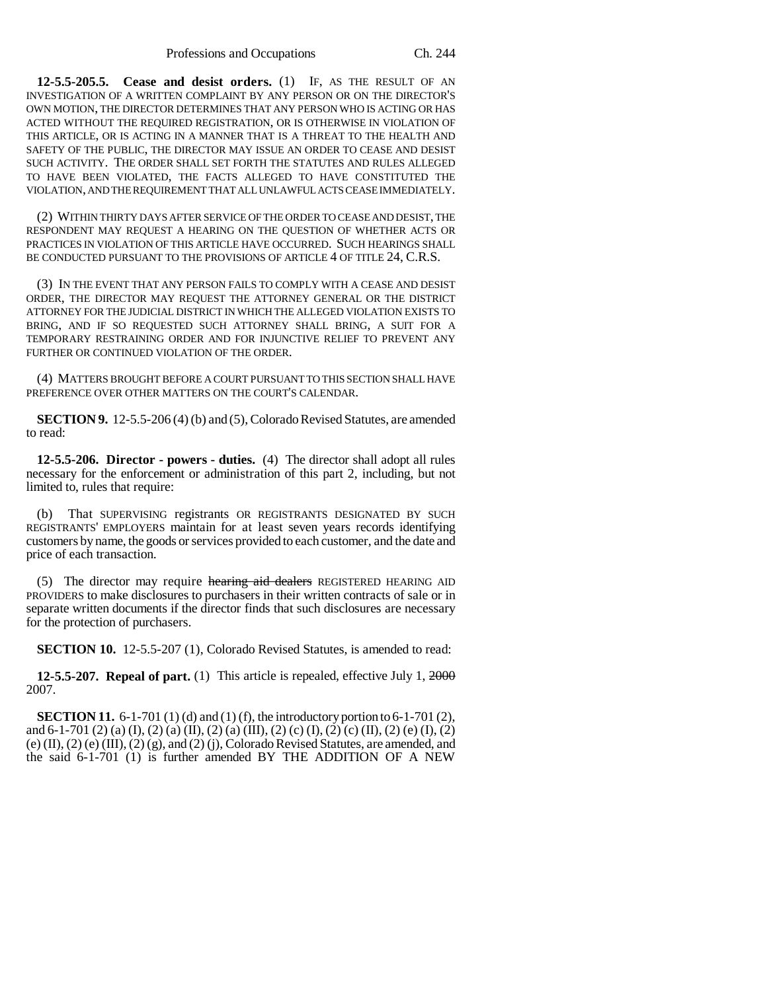**12-5.5-205.5. Cease and desist orders.** (1) IF, AS THE RESULT OF AN INVESTIGATION OF A WRITTEN COMPLAINT BY ANY PERSON OR ON THE DIRECTOR'S OWN MOTION, THE DIRECTOR DETERMINES THAT ANY PERSON WHO IS ACTING OR HAS ACTED WITHOUT THE REQUIRED REGISTRATION, OR IS OTHERWISE IN VIOLATION OF THIS ARTICLE, OR IS ACTING IN A MANNER THAT IS A THREAT TO THE HEALTH AND SAFETY OF THE PUBLIC, THE DIRECTOR MAY ISSUE AN ORDER TO CEASE AND DESIST SUCH ACTIVITY. THE ORDER SHALL SET FORTH THE STATUTES AND RULES ALLEGED TO HAVE BEEN VIOLATED, THE FACTS ALLEGED TO HAVE CONSTITUTED THE VIOLATION, AND THE REQUIREMENT THAT ALL UNLAWFUL ACTS CEASE IMMEDIATELY.

(2) WITHIN THIRTY DAYS AFTER SERVICE OF THE ORDER TO CEASE AND DESIST, THE RESPONDENT MAY REQUEST A HEARING ON THE QUESTION OF WHETHER ACTS OR PRACTICES IN VIOLATION OF THIS ARTICLE HAVE OCCURRED. SUCH HEARINGS SHALL BE CONDUCTED PURSUANT TO THE PROVISIONS OF ARTICLE 4 OF TITLE 24, C.R.S.

(3) IN THE EVENT THAT ANY PERSON FAILS TO COMPLY WITH A CEASE AND DESIST ORDER, THE DIRECTOR MAY REQUEST THE ATTORNEY GENERAL OR THE DISTRICT ATTORNEY FOR THE JUDICIAL DISTRICT IN WHICH THE ALLEGED VIOLATION EXISTS TO BRING, AND IF SO REQUESTED SUCH ATTORNEY SHALL BRING, A SUIT FOR A TEMPORARY RESTRAINING ORDER AND FOR INJUNCTIVE RELIEF TO PREVENT ANY FURTHER OR CONTINUED VIOLATION OF THE ORDER.

(4) MATTERS BROUGHT BEFORE A COURT PURSUANT TO THIS SECTION SHALL HAVE PREFERENCE OVER OTHER MATTERS ON THE COURT'S CALENDAR.

**SECTION 9.** 12-5.5-206 (4) (b) and (5), Colorado Revised Statutes, are amended to read:

**12-5.5-206. Director - powers - duties.** (4) The director shall adopt all rules necessary for the enforcement or administration of this part 2, including, but not limited to, rules that require:

(b) That SUPERVISING registrants OR REGISTRANTS DESIGNATED BY SUCH REGISTRANTS' EMPLOYERS maintain for at least seven years records identifying customers by name, the goods or services provided to each customer, and the date and price of each transaction.

(5) The director may require hearing aid dealers REGISTERED HEARING AID PROVIDERS to make disclosures to purchasers in their written contracts of sale or in separate written documents if the director finds that such disclosures are necessary for the protection of purchasers.

**SECTION 10.** 12-5.5-207 (1), Colorado Revised Statutes, is amended to read:

**12-5.5-207. Repeal of part.** (1) This article is repealed, effective July 1, 2000 2007.

**SECTION 11.** 6-1-701 (1) (d) and (1) (f), the introductory portion to 6-1-701 (2), and 6-1-701 (2) (a) (I), (2) (a) (II), (2) (a) (III), (2) (c) (I), (2) (c) (II), (2) (e) (I), (2)  $(e)$  (II), (2)  $(e)$  (III), (2)  $(g)$ , and (2)  $(j)$ , Colorado Revised Statutes, are amended, and the said 6-1-701 (1) is further amended BY THE ADDITION OF A NEW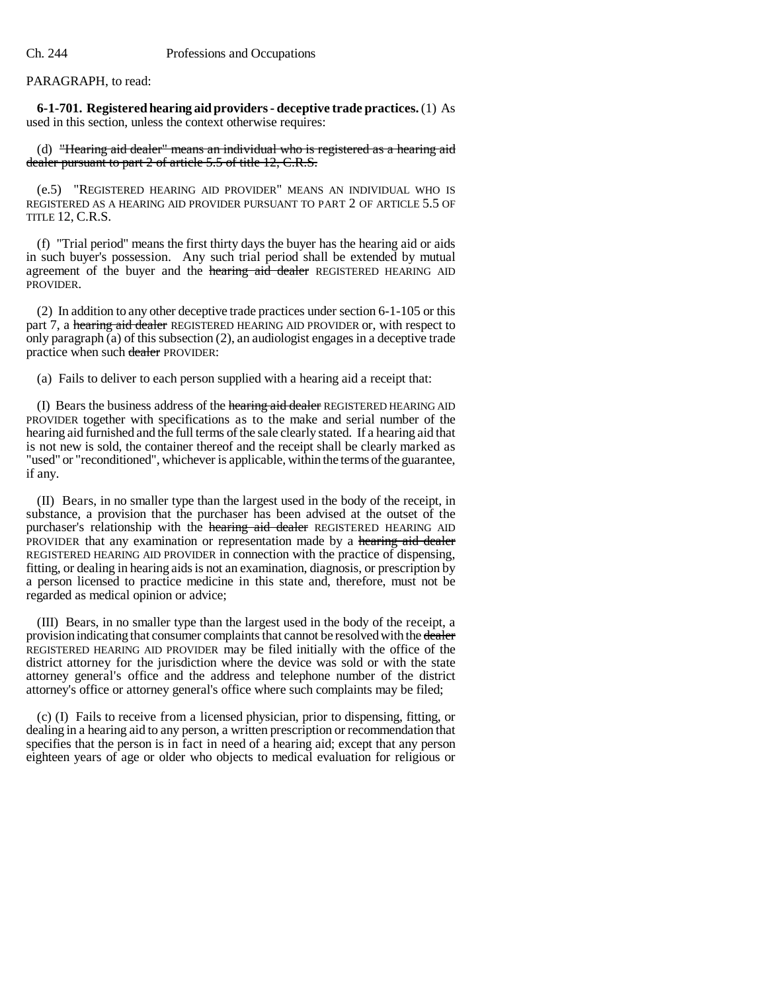## PARAGRAPH, to read:

**6-1-701. Registered hearing aid providers - deceptive trade practices.** (1) As used in this section, unless the context otherwise requires:

(d) "Hearing aid dealer" means an individual who is registered as a hearing aid dealer pursuant to part 2 of article 5.5 of title 12, C.R.S.

(e.5) "REGISTERED HEARING AID PROVIDER" MEANS AN INDIVIDUAL WHO IS REGISTERED AS A HEARING AID PROVIDER PURSUANT TO PART 2 OF ARTICLE 5.5 OF TITLE 12, C.R.S.

(f) "Trial period" means the first thirty days the buyer has the hearing aid or aids in such buyer's possession. Any such trial period shall be extended by mutual agreement of the buyer and the hearing aid dealer REGISTERED HEARING AID PROVIDER.

(2) In addition to any other deceptive trade practices under section 6-1-105 or this part 7, a hearing aid dealer REGISTERED HEARING AID PROVIDER or, with respect to only paragraph  $\alpha$  of this subsection  $(2)$ , an audiologist engages in a deceptive trade practice when such dealer PROVIDER:

(a) Fails to deliver to each person supplied with a hearing aid a receipt that:

(I) Bears the business address of the hearing aid dealer REGISTERED HEARING AID PROVIDER together with specifications as to the make and serial number of the hearing aid furnished and the full terms of the sale clearly stated. If a hearing aid that is not new is sold, the container thereof and the receipt shall be clearly marked as "used" or "reconditioned", whichever is applicable, within the terms of the guarantee, if any.

(II) Bears, in no smaller type than the largest used in the body of the receipt, in substance, a provision that the purchaser has been advised at the outset of the purchaser's relationship with the hearing aid dealer REGISTERED HEARING AID PROVIDER that any examination or representation made by a hearing aid dealer REGISTERED HEARING AID PROVIDER in connection with the practice of dispensing, fitting, or dealing in hearing aids is not an examination, diagnosis, or prescription by a person licensed to practice medicine in this state and, therefore, must not be regarded as medical opinion or advice;

(III) Bears, in no smaller type than the largest used in the body of the receipt, a provision indicating that consumer complaints that cannot be resolved with the dealer REGISTERED HEARING AID PROVIDER may be filed initially with the office of the district attorney for the jurisdiction where the device was sold or with the state attorney general's office and the address and telephone number of the district attorney's office or attorney general's office where such complaints may be filed;

(c) (I) Fails to receive from a licensed physician, prior to dispensing, fitting, or dealing in a hearing aid to any person, a written prescription or recommendation that specifies that the person is in fact in need of a hearing aid; except that any person eighteen years of age or older who objects to medical evaluation for religious or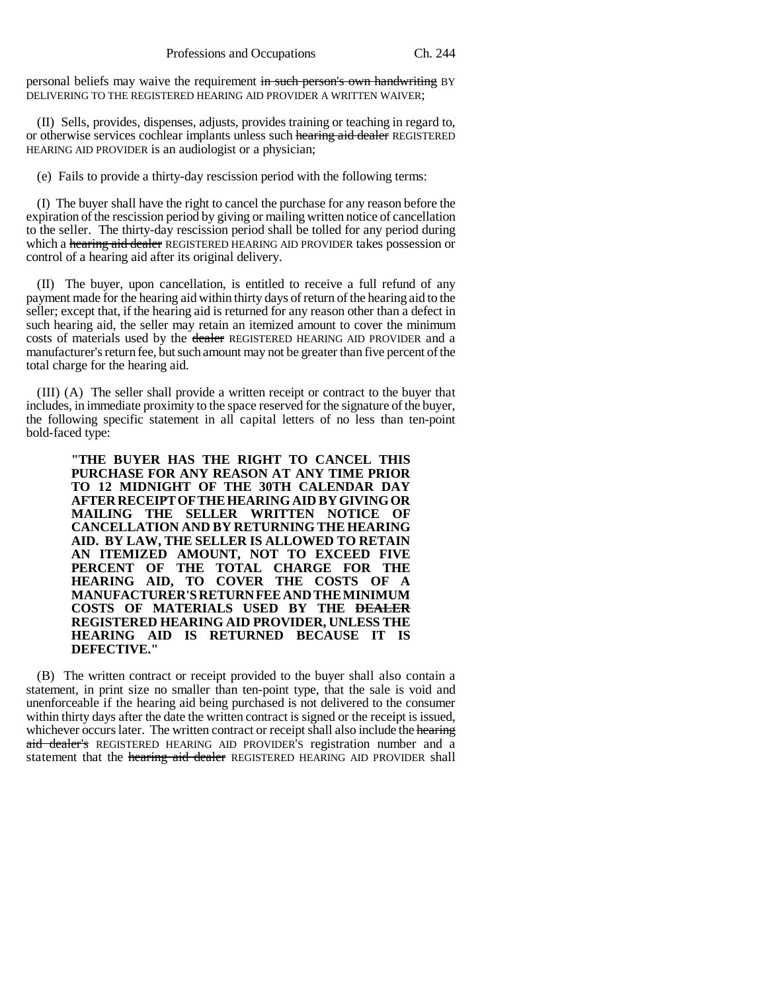personal beliefs may waive the requirement in such person's own handwriting BY DELIVERING TO THE REGISTERED HEARING AID PROVIDER A WRITTEN WAIVER;

(II) Sells, provides, dispenses, adjusts, provides training or teaching in regard to, or otherwise services cochlear implants unless such hearing aid dealer REGISTERED HEARING AID PROVIDER is an audiologist or a physician;

(e) Fails to provide a thirty-day rescission period with the following terms:

(I) The buyer shall have the right to cancel the purchase for any reason before the expiration of the rescission period by giving or mailing written notice of cancellation to the seller. The thirty-day rescission period shall be tolled for any period during which a hearing aid dealer REGISTERED HEARING AID PROVIDER takes possession or control of a hearing aid after its original delivery.

(II) The buyer, upon cancellation, is entitled to receive a full refund of any payment made for the hearing aid within thirty days of return of the hearing aid to the seller; except that, if the hearing aid is returned for any reason other than a defect in such hearing aid, the seller may retain an itemized amount to cover the minimum costs of materials used by the dealer REGISTERED HEARING AID PROVIDER and a manufacturer's return fee, but such amount may not be greater than five percent of the total charge for the hearing aid.

(III) (A) The seller shall provide a written receipt or contract to the buyer that includes, in immediate proximity to the space reserved for the signature of the buyer, the following specific statement in all capital letters of no less than ten-point bold-faced type:

> **"THE BUYER HAS THE RIGHT TO CANCEL THIS PURCHASE FOR ANY REASON AT ANY TIME PRIOR TO 12 MIDNIGHT OF THE 30TH CALENDAR DAY AFTER RECEIPT OF THE HEARING AID BY GIVING OR MAILING THE SELLER WRITTEN NOTICE OF CANCELLATION AND BY RETURNING THE HEARING AID. BY LAW, THE SELLER IS ALLOWED TO RETAIN AN ITEMIZED AMOUNT, NOT TO EXCEED FIVE PERCENT OF THE TOTAL CHARGE FOR THE HEARING AID, TO COVER THE COSTS OF A MANUFACTURER'S RETURN FEE AND THE MINIMUM COSTS OF MATERIALS USED BY THE DEALER REGISTERED HEARING AID PROVIDER, UNLESS THE HEARING AID IS RETURNED BECAUSE IT IS DEFECTIVE."**

(B) The written contract or receipt provided to the buyer shall also contain a statement, in print size no smaller than ten-point type, that the sale is void and unenforceable if the hearing aid being purchased is not delivered to the consumer within thirty days after the date the written contract is signed or the receipt is issued, whichever occurs later. The written contract or receipt shall also include the hearing aid dealer's REGISTERED HEARING AID PROVIDER'S registration number and a statement that the *hearing aid dealer* REGISTERED HEARING AID PROVIDER shall